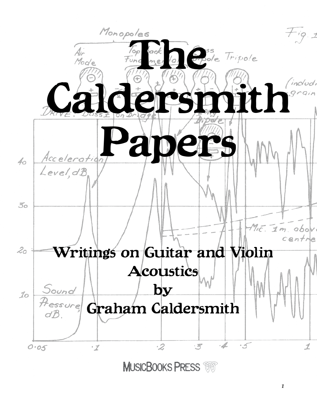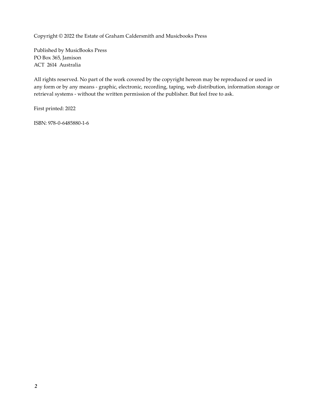Copyright © 2022 the Estate of Graham Caldersmith and Musicbooks Press

Published by MusicBooks Press PO Box 365, Jamison ACT 2614 Australia

All rights reserved. No part of the work covered by the copyright hereon may be reproduced or used in any form or by any means - graphic, electronic, recording, taping, web distribution, information storage or retrieval systems - without the written permission of the publisher. But feel free to ask.

First printed: 2022

ISBN: 978-0-6485880-1-6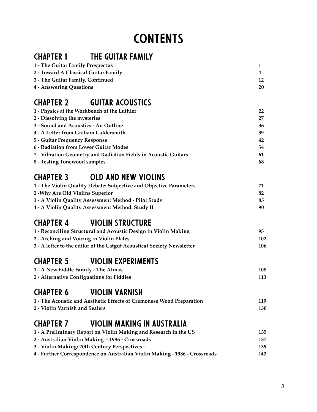# **CONTENTS**

# Chapter 1 The Guitar Family

| 1 - The Guitar Family Prospectus     |    |
|--------------------------------------|----|
| 2 - Toward A Classical Guitar Family |    |
| 3 - The Guitar Family, Continued     | 12 |
| 4 - Answering Questions              | 20 |

## Chapter 2 Guitar Acoustics

| 1 - Physics at the Workbench of the Luthier                     | 22 |
|-----------------------------------------------------------------|----|
| 2 - Dissolving the mysteries                                    | 27 |
| 3 - Sound and Acoustics - An Outline                            | 36 |
| 4 - A Letter from Graham Caldersmith                            | 39 |
| 5 - Guitar Frequency Response                                   | 42 |
| 6 - Radiation from Lower Guitar Modes                           | 54 |
| 7 - Vibration Geometry and Radiation Fields in Acoustic Guitars | 61 |
| 8 - Testing Tonewood samples                                    | 68 |

# Chapter 3 Old and New Violins

| 1 - The Violin Quality Debate: Subjective and Objective Parameters | 71 |
|--------------------------------------------------------------------|----|
| 2 - Why Are Old Violins Superior                                   | 82 |
| 3 - A Violin Quality Assessment Method - Pilot Study               | 85 |
| 4 - A Violin Quality Assessment Method: Study II                   | 90 |

#### Chapter 4 Violin Structure

| 1 - Reconciling Structural and Acoustic Design in Violin Making        | 95  |
|------------------------------------------------------------------------|-----|
| 2 - Arching and Voicing in Violin Plates                               | 102 |
| 3 - A letter to the editor of the Catgut Acoustical Society Newsletter | 106 |

## Chapter 5 Violin Experiments

| 1 - A New Fiddle Family - The Almas       | 108 |
|-------------------------------------------|-----|
| 2 - Alternative Configuations for Fiddles | 113 |

### Chapter 6 Violin Varnish

| 1 - The Acoustic and Aesthetic Effects of Cremonese Wood Preparation | 119 |
|----------------------------------------------------------------------|-----|
| 2 - Violin Varnish and Sealers                                       | 130 |

# Chapter 7 Violin Making in Australia

| 1 - A Preliminary Report on Violin Making and Research in the US           | 135 |
|----------------------------------------------------------------------------|-----|
| 2 - Australian Violin Making - 1986 - Crossroads                           | 137 |
| 3 - Violin Making: 20th Century Perspectives -                             | 139 |
| 4 - Further Correspondence on Australian Violin Making - 1986 - Crossroads | 142 |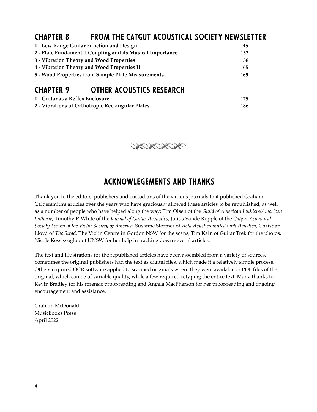# Chapter 8 From the Catgut Acoustical Society Newsletter

| 1 - Low Range Guitar Function and Design                  | 145 |
|-----------------------------------------------------------|-----|
| 2 - Plate Fundamental Coupling and its Musical Importance | 152 |
| 3 - Vibration Theory and Wood Properties                  | 158 |
| 4 - Vibration Theory and Wood Properties II               | 165 |
| 5 - Wood Properties from Sample Plate Measurements        | 169 |

#### Chapter 9 Other Acoustics Research

| 1 - Guitar as a Reflex Enclosure                 |  |
|--------------------------------------------------|--|
| 2 - Vibrations of Orthotropic Rectangular Plates |  |



#### Acknowlegements and Thanks

Thank you to the editors, publishers and custodians of the various journals that published Graham Caldersmith's articles over the years who have graciously allowed these articles to be republished, as well as a number of people who have helped along the way: Tim Olsen of the *Guild of American Luthiers/American Lutherie*, Timothy P. White of the *Journal of Guitar Acoustics*, Julius Vande Kopple of the *Catgut Acoustical Society Forum of the Violin Society of America*, Susanne Stormer of *Acta Acustica united with Acustica*, Christian Lloyd of *The Strad*, The Violin Centre in Gordon NSW for the scans, Tim Kain of Guitar Trek for the photos, Nicole Kessissoglou of UNSW for her help in tracking down several articles.

The text and illustrations for the republished articles have been assembled from a variety of sources. Sometimes the original publishers had the text as digital files, which made it a relatively simple process. Others required OCR software applied to scanned originals where they were available or PDF files of the original, which can be of variable quality, while a few required retyping the entire text. Many thanks to Kevin Bradley for his forensic proof-reading and Angela MacPherson for her proof-reading and ongoing encouragement and assistance.

Graham McDonald MusicBooks Press April 2022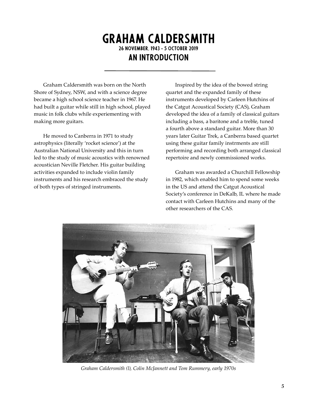#### Graham Caldersmith 26 November, 1943 - 5 October 2019

An Introduction

Graham Caldersmith was born on the North Shore of Sydney, NSW, and with a science degree became a high school science teacher in 1967. He had built a guitar while still in high school, played music in folk clubs while experiementing with making more guitars.

He moved to Canberra in 1971 to study astrophysics (literally 'rocket science') at the Australian National University and this in turn led to the study of music acoustics with renowned acoustician Neville Fletcher. His guitar building activities expanded to include violin family instruments and his research embraced the study of both types of stringed instruments.

Inspired by the idea of the bowed string quartet and the expanded family of these instruments developed by Carleen Hutchins of the Catgut Acoustical Society (CAS), Graham developed the idea of a family of classical guitars including a bass, a baritone and a treble, tuned a fourth above a standard guitar. More than 30 years later Guitar Trek, a Canberra based quartet using these guitar family instrments are still performing and recording both arranged classical repertoire and newly commissioned works.

Graham was awarded a Churchill Fellowship in 1982, which enabled him to spend some weeks in the US and attend the Catgut Acoustical Society's conference in DeKalb, IL where he made contact with Carleen Hutchins and many of the other researchers of the CAS.



*Graham Caldersmith (l), Colin McJannett and Tom Rummery, early 1970s*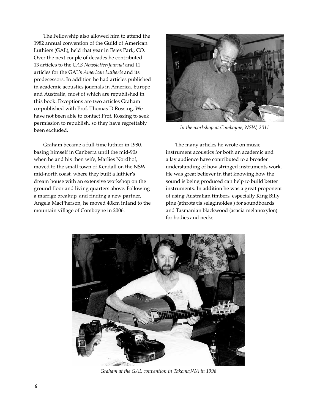The Fellowship also allowed him to attend the 1982 annual convention of the Guild of American Luthiers (GAL), held that year in Estes Park, CO. Over the next couple of decades he contributed 13 articles to the *CAS Newsletter/Journal* and 11 articles for the GAL's *American Lutherie* and its predecessors. In addition he had articles published in academic acoustics journals in America, Europe and Australia, most of which are republished in this book. Exceptions are two articles Graham co-published with Prof. Thomas D Rossing. We have not been able to contact Prof. Rossing to seek permission to republish, so they have regrettably been excluded.

Graham became a full-time luthier in 1980, basing himself in Canberra until the mid-90s when he and his then wife, Marlies Nordhof, moved to the small town of Kendall on the NSW mid-north coast, where they built a luthier's dream house with an extensive workshop on the ground floor and living quarters above. Following a marrige breakup, and finding a new partner, Angela MacPherson, he moved 40km inland to the mountain village of Comboyne in 2006.



*In the workshop at Comboyne, NSW, 2011*

The many articles he wrote on music instrument acoustics for both an academic and a lay audience have contributed to a broader understanding of how stringed instruments work. He was great believer in that knowing how the sound is being produced can help to build better instruments. In addition he was a great proponent of using Australian timbers, especially King Billy pine (athrotaxis selaginoides ) for soundboards and Tasmanian blackwood (acacia melanoxylon) for bodies and necks.



*Graham at the GAL convention in Takoma,WA in 1998*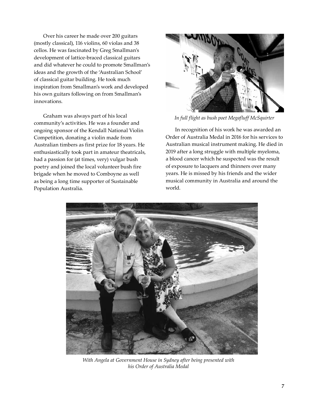Over his career he made over 200 guitars (mostly classical), 116 violins, 60 violas and 38 cellos. He was fascinated by Greg Smallman's development of lattice-braced classical guitars and did whatever he could to promote Smallman's ideas and the growth of the 'Australian School' of classical guitar building. He took much inspiration from Smallman's work and developed his own guitars following on from Smallman's innovations.

Graham was always part of his local community's activities. He was a founder and ongoing sponsor of the Kendall National Violin Competition, donating a violin made from Australian timbers as first prize for 18 years. He enthusiastically took part in amateur theatricals, had a passion for (at times, very) vulgar bush poetry and joined the local volunteer bush fire brigade when he moved to Comboyne as well as being a long time supporter of Sustainable Population Australia.



*In full flight as bush poet Megafluff McSquirter*

In recognition of his work he was awarded an Order of Australia Medal in 2016 for his services to Australian musical instrument making. He died in 2019 after a long struggle with multiple myeloma, a blood cancer which he suspected was the result of exposure to lacquers and thinners over many years. He is missed by his friends and the wider musical community in Australia and around the world.



*With Angela at Government House in Sydney after being presented with his Order of Australia Medal*